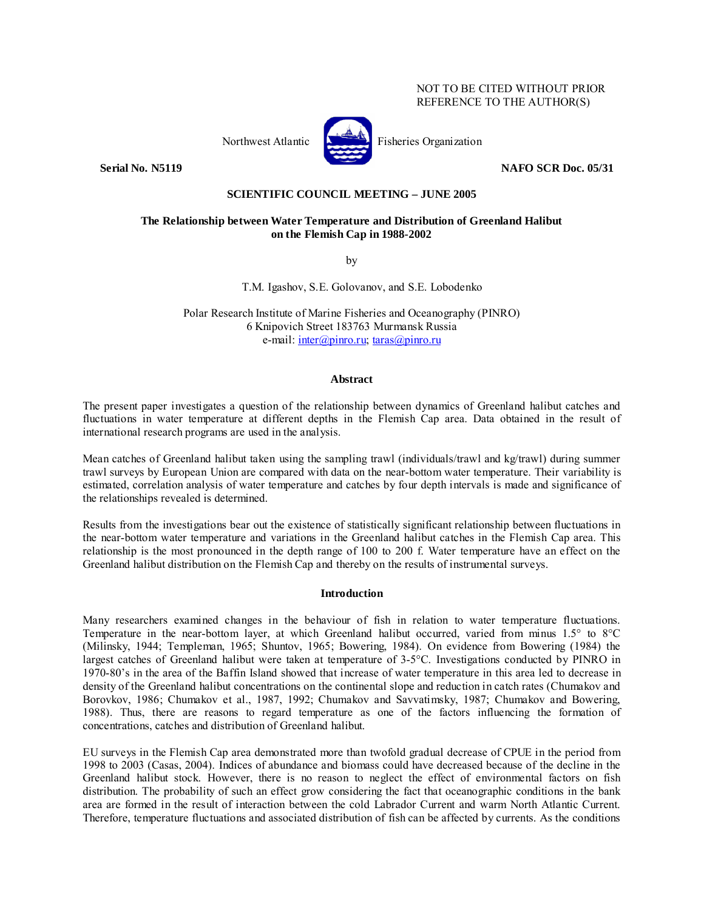# NOT TO BE CITED WITHOUT PRIOR REFERENCE TO THE AUTHOR(S)



Northwest Atlantic **Northus** Fisheries Organization

**Serial No. N5119** NAFO SCR Doc. 05/31

## **SCIENTIFIC COUNCIL MEETING – JUNE 2005**

# **The Relationship between Water Temperature and Distribution of Greenland Halibut on the Flemish Cap in 1988-2002**

by

T.M. Igashov, S.E. Golovanov, and S.E. Lobodenko

Polar Research Institute of Marine Fisheries and Oceanography (PINRO) 6 Knipovich Street 183763 Murmansk Russia e-mail: inter@pinro.ru; taras@pinro.ru

# **Abstract**

The present paper investigates a question of the relationship between dynamics of Greenland halibut catches and fluctuations in water temperature at different depths in the Flemish Cap area. Data obtained in the result of international research programs are used in the analysis.

Mean catches of Greenland halibut taken using the sampling trawl (individuals/trawl and kg/trawl) during summer trawl surveys by European Union are compared with data on the near-bottom water temperature. Their variability is estimated, correlation analysis of water temperature and catches by four depth intervals is made and significance of the relationships revealed is determined.

Results from the investigations bear out the existence of statistically significant relationship between fluctuations in the near-bottom water temperature and variations in the Greenland halibut catches in the Flemish Cap area. This relationship is the most pronounced in the depth range of 100 to 200 f. Water temperature have an effect on the Greenland halibut distribution on the Flemish Cap and thereby on the results of instrumental surveys.

## **Introduction**

Many researchers examined changes in the behaviour of fish in relation to water temperature fluctuations. Temperature in the near-bottom layer, at which Greenland halibut occurred, varied from minus 1.5° to 8°C (Milinsky, 1944; Templeman, 1965; Shuntov, 1965; Bowering, 1984). On evidence from Bowering (1984) the largest catches of Greenland halibut were taken at temperature of 3-5°C. Investigations conducted by PINRO in 1970-80's in the area of the Baffin Island showed that increase of water temperature in this area led to decrease in density of the Greenland halibut concentrations on the continental slope and reduction in catch rates (Chumakov and Borovkov, 1986; Chumakov et al., 1987, 1992; Chumakov and Savvatimsky, 1987; Chumakov and Bowering, 1988). Thus, there are reasons to regard temperature as one of the factors influencing the formation of concentrations, catches and distribution of Greenland halibut.

EU surveys in the Flemish Cap area demonstrated more than twofold gradual decrease of CPUE in the period from 1998 to 2003 (Casas, 2004). Indices of abundance and biomass could have decreased because of the decline in the Greenland halibut stock. However, there is no reason to neglect the effect of environmental factors on fish distribution. The probability of such an effect grow considering the fact that oceanographic conditions in the bank area are formed in the result of interaction between the cold Labrador Current and warm North Atlantic Current. Therefore, temperature fluctuations and associated distribution of fish can be affected by currents. As the conditions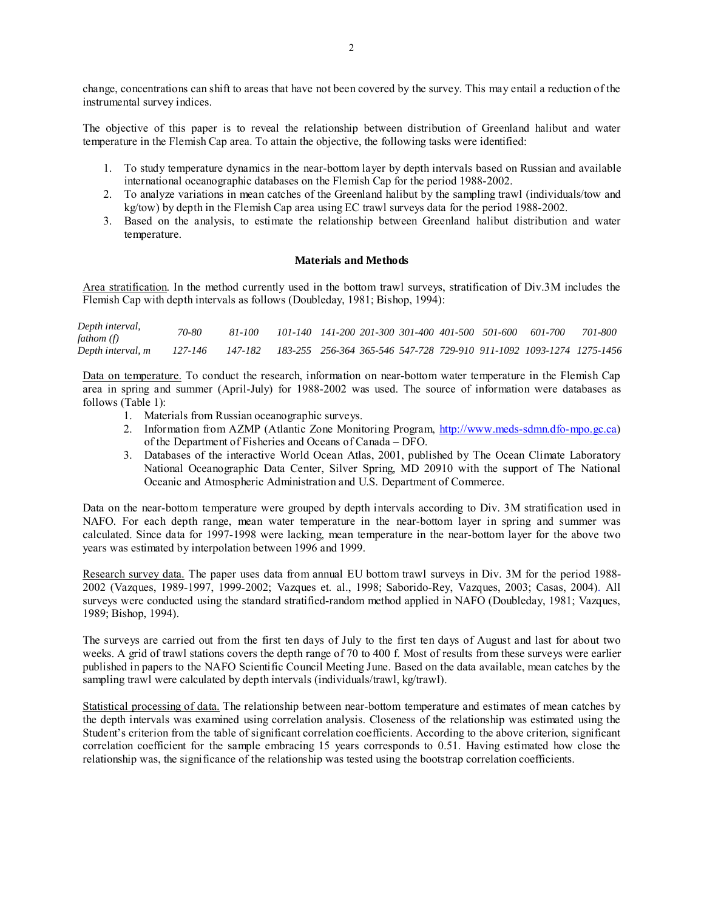change, concentrations can shift to areas that have not been covered by the survey. This may entail a reduction of the instrumental survey indices.

The objective of this paper is to reveal the relationship between distribution of Greenland halibut and water temperature in the Flemish Cap area. To attain the objective, the following tasks were identified:

- 1. To study temperature dynamics in the near-bottom layer by depth intervals based on Russian and available international oceanographic databases on the Flemish Cap for the period 1988-2002.
- 2. To analyze variations in mean catches of the Greenland halibut by the sampling trawl (individuals/tow and kg/tow) by depth in the Flemish Cap area using EC trawl surveys data for the period 1988-2002.
- 3. Based on the analysis, to estimate the relationship between Greenland halibut distribution and water temperature.

#### **Materials and Methods**

Area stratification. In the method currently used in the bottom trawl surveys, stratification of Div.3M includes the Flemish Cap with depth intervals as follows (Doubleday, 1981; Bishop, 1994):

| Depth interval,<br>fathom (f) | 70-80   | 81-100 |  |  |  | 101-140 141-200 201-300 301-400 401-500 501-600 601-700                                                | 701-800 |
|-------------------------------|---------|--------|--|--|--|--------------------------------------------------------------------------------------------------------|---------|
| Depth interval, m             | 127-146 |        |  |  |  | 147-182     183-255     256-364    365-546    547-728    729-910    911-1092    1093-1274    1275-1456 |         |

Data on temperature. To conduct the research, information on near-bottom water temperature in the Flemish Cap area in spring and summer (April-July) for 1988-2002 was used. The source of information were databases as follows (Table 1):

- 1. Materials from Russian oceanographic surveys.
- 2. Information from AZMP (Atlantic Zone Monitoring Program, http://www.meds-sdmn.dfo-mpo.gc.ca) of the Department of Fisheries and Oceans of Canada – DFO.
- 3. Databases of the interactive World Ocean Atlas, 2001, published by The Ocean Climate Laboratory National Oceanographic Data Center, Silver Spring, MD 20910 with the support of The National Oceanic and Atmospheric Administration and U.S. Department of Commerce.

Data on the near-bottom temperature were grouped by depth intervals according to Div. 3M stratification used in NAFO. For each depth range, mean water temperature in the near-bottom layer in spring and summer was calculated. Since data for 1997-1998 were lacking, mean temperature in the near-bottom layer for the above two years was estimated by interpolation between 1996 and 1999.

Research survey data. The paper uses data from annual EU bottom trawl surveys in Div. 3M for the period 1988- 2002 (Vazques, 1989-1997, 1999-2002; Vazques et. al., 1998; Saborido-Rey, Vazques, 2003; Casas, 2004). All surveys were conducted using the standard stratified-random method applied in NAFO (Doubleday, 1981; Vazques, 1989; Bishop, 1994).

The surveys are carried out from the first ten days of July to the first ten days of August and last for about two weeks. A grid of trawl stations covers the depth range of 70 to 400 f. Most of results from these surveys were earlier published in papers to the NAFO Scientific Council Meeting June. Based on the data available, mean catches by the sampling trawl were calculated by depth intervals (individuals/trawl, kg/trawl).

Statistical processing of data. The relationship between near-bottom temperature and estimates of mean catches by the depth intervals was examined using correlation analysis. Closeness of the relationship was estimated using the Student's criterion from the table of significant correlation coefficients. According to the above criterion, significant correlation coefficient for the sample embracing 15 years corresponds to 0.51. Having estimated how close the relationship was, the significance of the relationship was tested using the bootstrap correlation coefficients.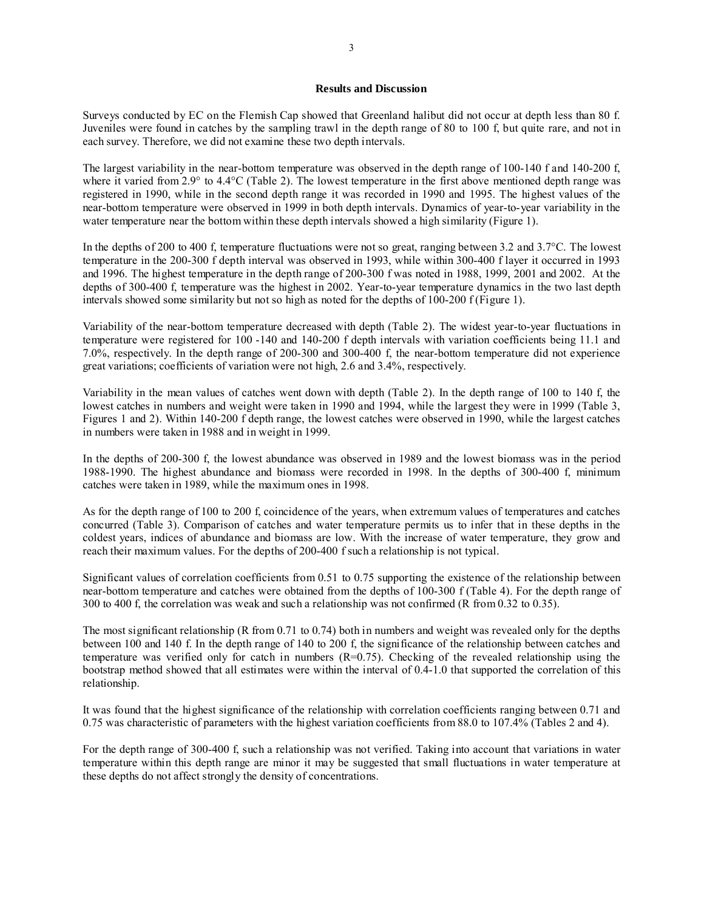### **Results and Discussion**

Surveys conducted by EC on the Flemish Cap showed that Greenland halibut did not occur at depth less than 80 f. Juveniles were found in catches by the sampling trawl in the depth range of 80 to 100 f, but quite rare, and not in each survey. Therefore, we did not examine these two depth intervals.

The largest variability in the near-bottom temperature was observed in the depth range of 100-140 f and 140-200 f, where it varied from 2.9° to 4.4°C (Table 2). The lowest temperature in the first above mentioned depth range was registered in 1990, while in the second depth range it was recorded in 1990 and 1995. The highest values of the near-bottom temperature were observed in 1999 in both depth intervals. Dynamics of year-to-year variability in the water temperature near the bottom within these depth intervals showed a high similarity (Figure 1).

In the depths of 200 to 400 f, temperature fluctuations were not so great, ranging between 3.2 and 3.7°C. The lowest temperature in the 200-300 f depth interval was observed in 1993, while within 300-400 f layer it occurred in 1993 and 1996. The highest temperature in the depth range of 200-300 f was noted in 1988, 1999, 2001 and 2002. At the depths of 300-400 f, temperature was the highest in 2002. Year-to-year temperature dynamics in the two last depth intervals showed some similarity but not so high as noted for the depths of 100-200 f (Figure 1).

Variability of the near-bottom temperature decreased with depth (Table 2). The widest year-to-year fluctuations in temperature were registered for 100 -140 and 140-200 f depth intervals with variation coefficients being 11.1 and 7.0%, respectively. In the depth range of 200-300 and 300-400 f, the near-bottom temperature did not experience great variations; coefficients of variation were not high, 2.6 and 3.4%, respectively.

Variability in the mean values of catches went down with depth (Table 2). In the depth range of 100 to 140 f, the lowest catches in numbers and weight were taken in 1990 and 1994, while the largest they were in 1999 (Table 3, Figures 1 and 2). Within 140-200 f depth range, the lowest catches were observed in 1990, while the largest catches in numbers were taken in 1988 and in weight in 1999.

In the depths of 200-300 f, the lowest abundance was observed in 1989 and the lowest biomass was in the period 1988-1990. The highest abundance and biomass were recorded in 1998. In the depths of 300-400 f, minimum catches were taken in 1989, while the maximum ones in 1998.

As for the depth range of 100 to 200 f, coincidence of the years, when extremum values of temperatures and catches concurred (Table 3). Comparison of catches and water temperature permits us to infer that in these depths in the coldest years, indices of abundance and biomass are low. With the increase of water temperature, they grow and reach their maximum values. For the depths of 200-400 f such a relationship is not typical.

Significant values of correlation coefficients from 0.51 to 0.75 supporting the existence of the relationship between near-bottom temperature and catches were obtained from the depths of 100-300 f (Table 4). For the depth range of 300 to 400 f, the correlation was weak and such a relationship was not confirmed (R from 0.32 to 0.35).

The most significant relationship (R from 0.71 to 0.74) both in numbers and weight was revealed only for the depths between 100 and 140 f. In the depth range of 140 to 200 f, the significance of the relationship between catches and temperature was verified only for catch in numbers (R=0.75). Checking of the revealed relationship using the bootstrap method showed that all estimates were within the interval of 0.4-1.0 that supported the correlation of this relationship.

It was found that the highest significance of the relationship with correlation coefficients ranging between 0.71 and 0.75 was characteristic of parameters with the highest variation coefficients from 88.0 to 107.4% (Tables 2 and 4).

For the depth range of 300-400 f, such a relationship was not verified. Taking into account that variations in water temperature within this depth range are minor it may be suggested that small fluctuations in water temperature at these depths do not affect strongly the density of concentrations.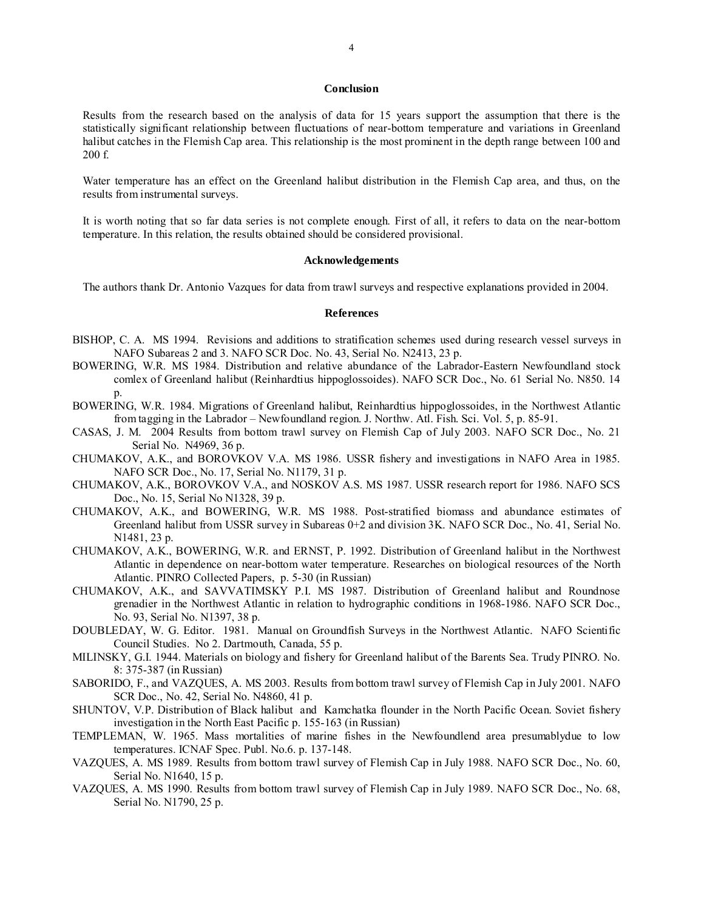### **Conclusion**

Results from the research based on the analysis of data for 15 years support the assumption that there is the statistically significant relationship between fluctuations of near-bottom temperature and variations in Greenland halibut catches in the Flemish Cap area. This relationship is the most prominent in the depth range between 100 and 200 f.

Water temperature has an effect on the Greenland halibut distribution in the Flemish Cap area, and thus, on the results from instrumental surveys.

It is worth noting that so far data series is not complete enough. First of all, it refers to data on the near-bottom temperature. In this relation, the results obtained should be considered provisional.

#### **Acknowledgements**

The authors thank Dr. Antonio Vazques for data from trawl surveys and respective explanations provided in 2004.

#### **References**

- BISHOP, C. A. MS 1994. Revisions and additions to stratification schemes used during research vessel surveys in NAFO Subareas 2 and 3. NAFO SCR Doc. No. 43, Serial No. N2413, 23 p.
- BOWERING, W.R. MS 1984. Distribution and relative abundance of the Labrador-Eastern Newfoundland stock comlex of Greenland halibut (Reinhardtius hippoglossoides). NAFO SCR Doc., No. 61 Serial No. N850. 14 p.
- BOWERING, W.R. 1984. Migrations of Greenland halibut, Reinhardtius hippoglossoides, in the Northwest Atlantic from tagging in the Labrador – Newfoundland region. J. Northw. Atl. Fish. Sci. Vol. 5, p. 85-91.
- CASAS, J. M. 2004 Results from bottom trawl survey on Flemish Cap of July 2003. NAFO SCR Doc., No. 21 Serial No. N4969, 36 p.
- CHUMAKOV, A.K., and BOROVKOV V.A. MS 1986. USSR fishery and investigations in NAFO Area in 1985. NAFO SCR Doc., No. 17, Serial No. N1179, 31 p.
- CHUMAKOV, A.K., BOROVKOV V.A., and NOSKOV A.S. MS 1987. USSR research report for 1986. NAFO SCS Doc., No. 15, Serial No N1328, 39 p.
- CHUMAKOV, A.K., and BOWERING, W.R. MS 1988. Post-stratified biomass and abundance estimates of Greenland halibut from USSR survey in Subareas 0+2 and division 3K. NAFO SCR Doc., No. 41, Serial No. N1481, 23 p.
- CHUMAKOV, A.K., BOWERING, W.R. and ERNST, P. 1992. Distribution of Greenland halibut in the Northwest Atlantic in dependence on near-bottom water temperature. Researches on biological resources of the North Atlantic. PINRO Collected Papers, p. 5-30 (in Russian)
- CHUMAKOV, A.K., and SAVVATIMSKY P.I. MS 1987. Distribution of Greenland halibut and Roundnose grenadier in the Northwest Atlantic in relation to hydrographic conditions in 1968-1986. NAFO SCR Doc., No. 93, Serial No. N1397, 38 p.
- DOUBLEDAY, W. G. Editor. 1981. Manual on Groundfish Surveys in the Northwest Atlantic. NAFO Scientific Council Studies. No 2. Dartmouth, Canada, 55 p.
- MILINSKY, G.I. 1944. Materials on biology and fishery for Greenland halibut of the Barents Sea. Trudy PINRO. No. 8: 375-387 (in Russian)
- SABORIDO, F., and VAZQUES, A. MS 2003. Results from bottom trawl survey of Flemish Cap in July 2001. NAFO SCR Doc., No. 42, Serial No. N4860, 41 p.
- SHUNTOV, V.P. Distribution of Black halibut and Kamchatka flounder in the North Pacific Ocean. Soviet fishery investigation in the North East Pacific p. 155-163 (in Russian)
- TEMPLEMAN, W. 1965. Mass mortalities of marine fishes in the Newfoundlend area presumablydue to low temperatures. ICNAF Spec. Publ. No.6. p. 137-148.
- VAZQUES, A. MS 1989. Results from bottom trawl survey of Flemish Cap in July 1988. NAFO SCR Doc., No. 60, Serial No. N1640, 15 p.
- VAZQUES, A. MS 1990. Results from bottom trawl survey of Flemish Cap in July 1989. NAFO SCR Doc., No. 68, Serial No. N1790, 25 p.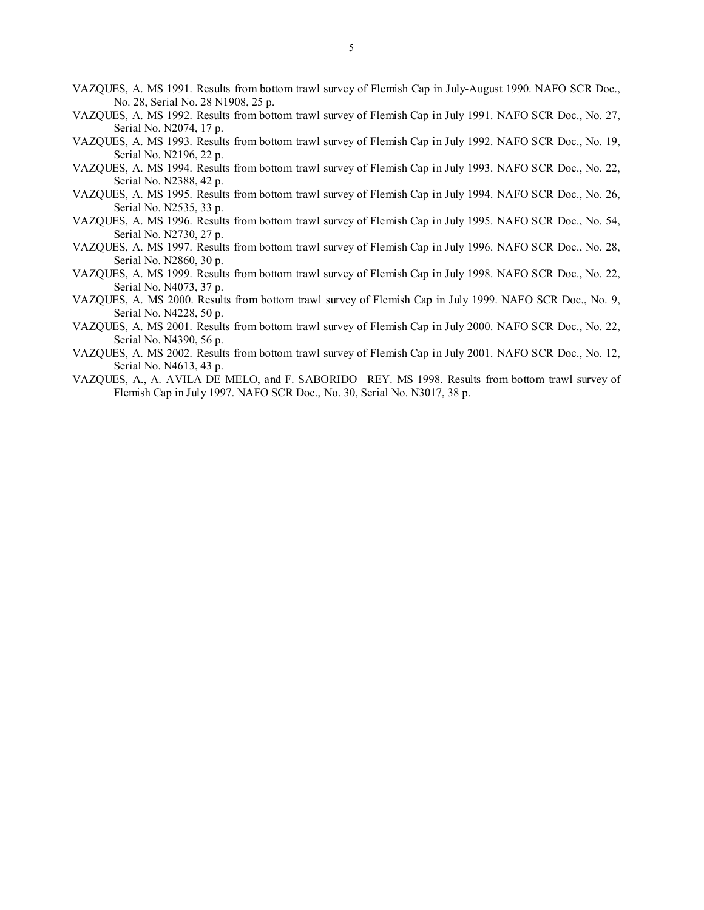- VAZQUES, A. MS 1991. Results from bottom trawl survey of Flemish Cap in July-August 1990. NAFO SCR Doc., No. 28, Serial No. 28 N1908, 25 p.
- VAZQUES, A. MS 1992. Results from bottom trawl survey of Flemish Cap in July 1991. NAFO SCR Doc., No. 27, Serial No. N2074, 17 p.
- VAZQUES, A. MS 1993. Results from bottom trawl survey of Flemish Cap in July 1992. NAFO SCR Doc., No. 19, Serial No. N2196, 22 p.
- VAZQUES, A. MS 1994. Results from bottom trawl survey of Flemish Cap in July 1993. NAFO SCR Doc., No. 22, Serial No. N2388, 42 p.
- VAZQUES, A. MS 1995. Results from bottom trawl survey of Flemish Cap in July 1994. NAFO SCR Doc., No. 26, Serial No. N2535, 33 p.
- VAZQUES, A. MS 1996. Results from bottom trawl survey of Flemish Cap in July 1995. NAFO SCR Doc., No. 54, Serial No. N2730, 27 p.
- VAZQUES, A. MS 1997. Results from bottom trawl survey of Flemish Cap in July 1996. NAFO SCR Doc., No. 28, Serial No. N2860, 30 p.
- VAZQUES, A. MS 1999. Results from bottom trawl survey of Flemish Cap in July 1998. NAFO SCR Doc., No. 22, Serial No. N4073, 37 p.
- VAZQUES, A. MS 2000. Results from bottom trawl survey of Flemish Cap in July 1999. NAFO SCR Doc., No. 9, Serial No. N4228, 50 p.
- VAZQUES, A. MS 2001. Results from bottom trawl survey of Flemish Cap in July 2000. NAFO SCR Doc., No. 22, Serial No. N4390, 56 p.
- VAZQUES, A. MS 2002. Results from bottom trawl survey of Flemish Cap in July 2001. NAFO SCR Doc., No. 12, Serial No. N4613, 43 p.
- VAZQUES, A., A. AVILA DE MELO, and F. SABORIDO –REY. MS 1998. Results from bottom trawl survey of Flemish Cap in July 1997. NAFO SCR Doc., No. 30, Serial No. N3017, 38 p.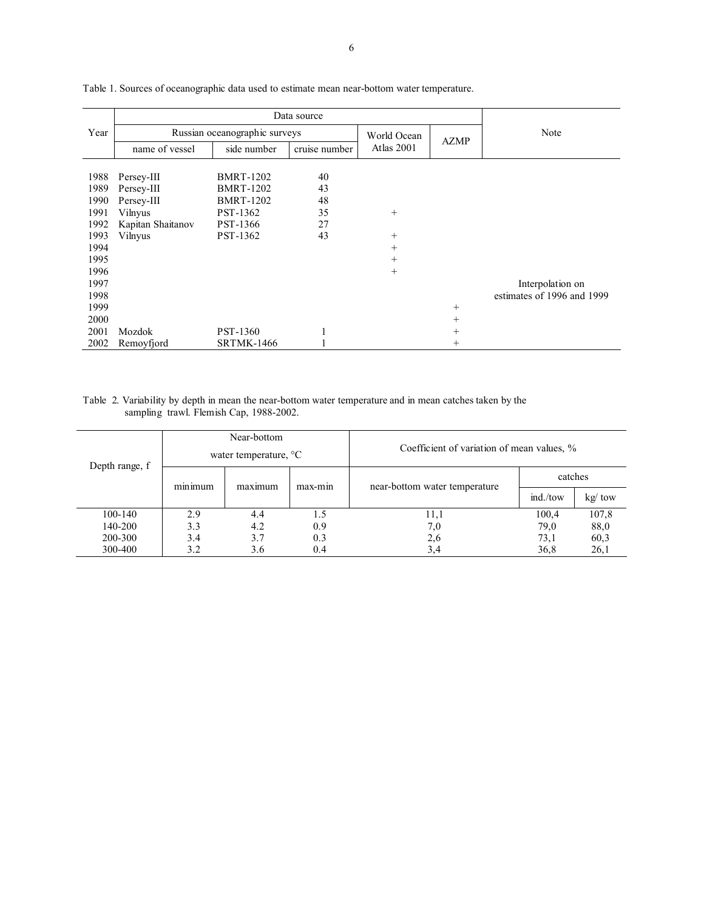| Year | Russian oceanographic surveys |                   | World Ocean   | <b>AZMP</b> | Note   |                            |
|------|-------------------------------|-------------------|---------------|-------------|--------|----------------------------|
|      | name of vessel                | side number       | cruise number | Atlas 2001  |        |                            |
|      |                               |                   |               |             |        |                            |
| 1988 | Persey-III                    | <b>BMRT-1202</b>  | 40            |             |        |                            |
| 1989 | Persey-III                    | <b>BMRT-1202</b>  | 43            |             |        |                            |
| 1990 | Persey-III                    | <b>BMRT-1202</b>  | 48            |             |        |                            |
| 1991 | Vilnyus                       | <b>PST-1362</b>   | 35            | $^{+}$      |        |                            |
| 1992 | Kapitan Shaitanov             | <b>PST-1366</b>   | 27            |             |        |                            |
| 1993 | Vilnyus                       | PST-1362          | 43            | $^{+}$      |        |                            |
| 1994 |                               |                   |               | $^{+}$      |        |                            |
| 1995 |                               |                   |               | $^{+}$      |        |                            |
| 1996 |                               |                   |               | $^{+}$      |        |                            |
| 1997 |                               |                   |               |             |        | Interpolation on           |
| 1998 |                               |                   |               |             |        | estimates of 1996 and 1999 |
| 1999 |                               |                   |               |             | $^{+}$ |                            |
| 2000 |                               |                   |               |             | $^{+}$ |                            |
| 2001 | Mozdok                        | PST-1360          |               |             | $^{+}$ |                            |
| 2002 | Remoyfjord                    | <b>SRTMK-1466</b> |               |             | $^{+}$ |                            |

Table 1. Sources of oceanographic data used to estimate mean near-bottom water temperature.

#### Table 2. Variability by depth in mean the near-bottom water temperature and in mean catches taken by the sampling trawl. Flemish Cap, 1988-2002.

| Depth range, f | Near-bottom       |                                 |         |                                            |          |            |  |  |
|----------------|-------------------|---------------------------------|---------|--------------------------------------------|----------|------------|--|--|
|                |                   | water temperature, $\mathrm{C}$ |         | Coefficient of variation of mean values, % |          |            |  |  |
|                | $\sim$<br>minimum | maximum                         | max-min | near-bottom water temperature              | catches  |            |  |  |
|                |                   |                                 |         |                                            | ind./tow | $kg /$ tow |  |  |
| 100-140        | 2.9               | 4.4                             | 1.5     | 11,1                                       | 100,4    | 107,8      |  |  |
| 140-200        | 3.3               | 4.2                             | 0.9     | 7,0                                        | 79,0     | 88,0       |  |  |
| 200-300        | 3.4               | 3.7                             | 0.3     | 2,6                                        | 73,1     | 60,3       |  |  |
| 300-400        | 3.2               | 3.6                             | 0.4     | 3,4                                        | 36,8     | 26,1       |  |  |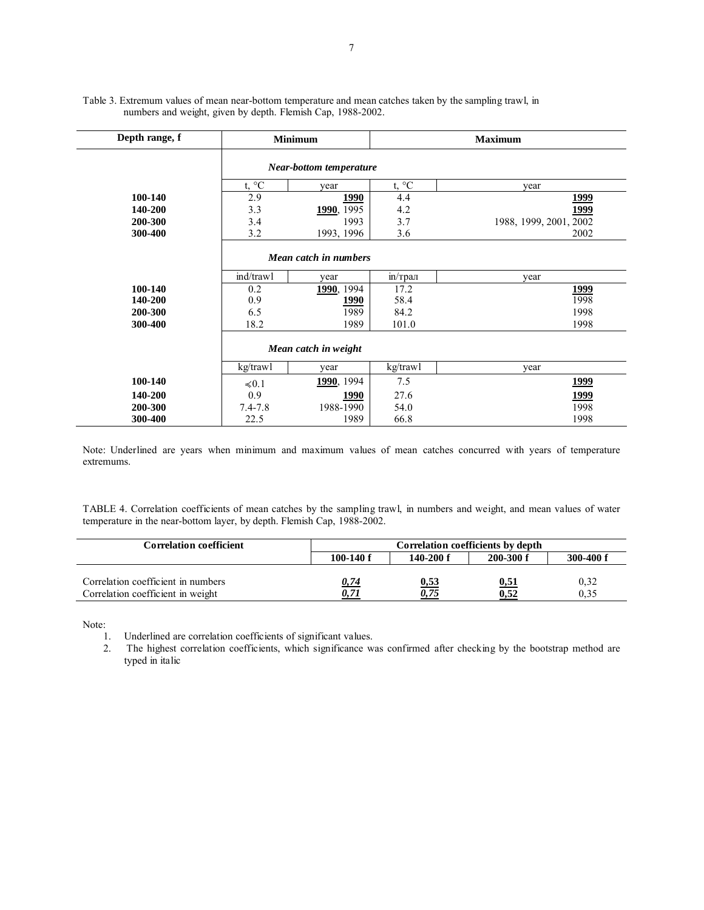| Depth range, f |                                | <b>Minimum</b>     |                | <b>Maximum</b>         |  |  |  |  |  |  |
|----------------|--------------------------------|--------------------|----------------|------------------------|--|--|--|--|--|--|
|                | <b>Near-bottom temperature</b> |                    |                |                        |  |  |  |  |  |  |
|                | t, $\mathrm{^{\circ}C}$        | year               | t, $^{\circ}C$ | vear                   |  |  |  |  |  |  |
| 100-140        | 2.9                            | 1990               | 4.4            | <u> 1999</u>           |  |  |  |  |  |  |
| 140-200        | 3.3                            | <b>1990</b> , 1995 | 4.2            | 1999                   |  |  |  |  |  |  |
| 200-300        | 3.4                            | 1993               | 3.7            | 1988, 1999, 2001, 2002 |  |  |  |  |  |  |
| 300-400        | 3.2                            | 1993, 1996         | 3.6            | 2002                   |  |  |  |  |  |  |
|                | Mean catch in numbers          |                    |                |                        |  |  |  |  |  |  |
|                | ind/trawl                      | year               | in/трал        | year                   |  |  |  |  |  |  |
| 100-140        | 0.2                            | 1990, 1994         | 17.2           | <u>1999</u>            |  |  |  |  |  |  |
| 140-200        | 0.9                            | <u>1990</u>        | 58.4           | 1998                   |  |  |  |  |  |  |
| 200-300        | 6.5                            | 1989               | 84.2           | 1998                   |  |  |  |  |  |  |
| 300-400        | 18.2                           | 1989               | 101.0          | 1998                   |  |  |  |  |  |  |
|                | Mean catch in weight           |                    |                |                        |  |  |  |  |  |  |
|                | kg/trawl                       | year               | kg/trawl       | year                   |  |  |  |  |  |  |
| 100-140        | $\le 0.1$                      | 1990, 1994         | 7.5            | <u>1999</u>            |  |  |  |  |  |  |
| 140-200        | 0.9                            | 1990               | 27.6           | <u> 1999</u>           |  |  |  |  |  |  |
| 200-300        | $7.4 - 7.8$                    | 1988-1990          | 54.0           | 1998                   |  |  |  |  |  |  |
| 300-400        | 22.5                           | 1989               | 66.8           | 1998                   |  |  |  |  |  |  |

Table 3. Extremum values of mean near-bottom temperature and mean catches taken by the sampling trawl, in numbers and weight, given by depth. Flemish Cap, 1988-2002.

Note: Underlined are years when minimum and maximum values of mean catches concurred with years of temperature extremums.

TABLE 4. Correlation coefficients of mean catches by the sampling trawl, in numbers and weight, and mean values of water temperature in the near-bottom layer, by depth. Flemish Cap, 1988-2002.

| Correlation coefficient            | Correlation coefficients by depth |               |               |               |  |  |
|------------------------------------|-----------------------------------|---------------|---------------|---------------|--|--|
|                                    | $100-140$ f                       | $140 - 200$ f | $200 - 300 f$ | $300 - 400 f$ |  |  |
|                                    |                                   |               |               |               |  |  |
| Correlation coefficient in numbers | 0,74                              | <u>0,53</u>   | <u>0,51</u>   | 0,32          |  |  |
| Correlation coefficient in weight  |                                   | 0,75          | 0,52          | 0.35          |  |  |

Note:

1. Underlined are correlation coefficients of significant values.

2. The highest correlation coefficients, which significance was confirmed after checking by the bootstrap method are typed in italic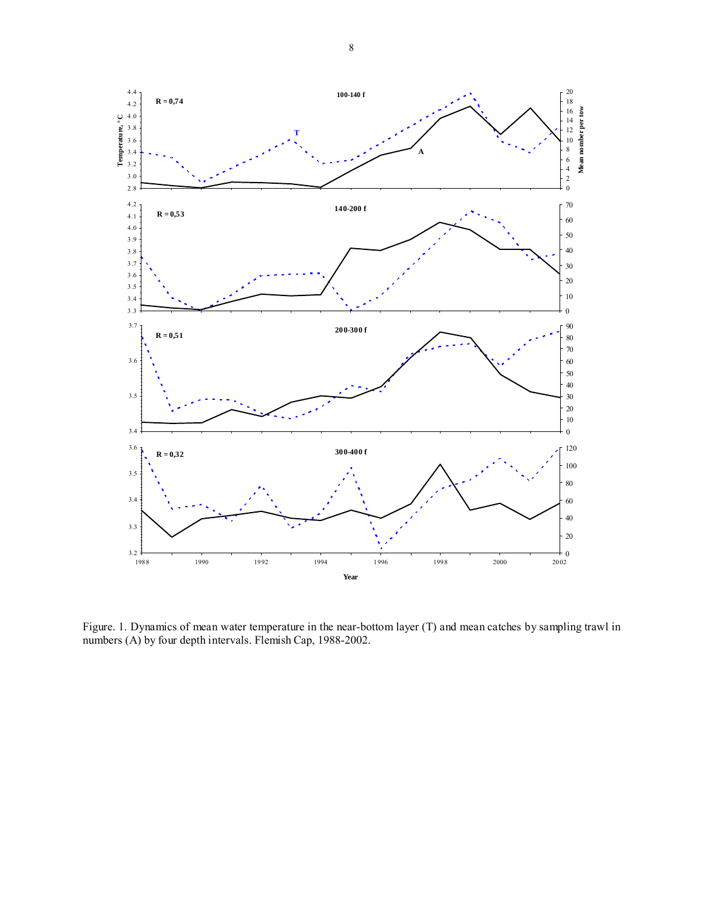

Figure. 1. Dynamics of mean water temperature in the near-bottom layer (T) and mean catches by sampling trawl in numbers (A) by four depth intervals. Flemish Cap, 1988-2002.